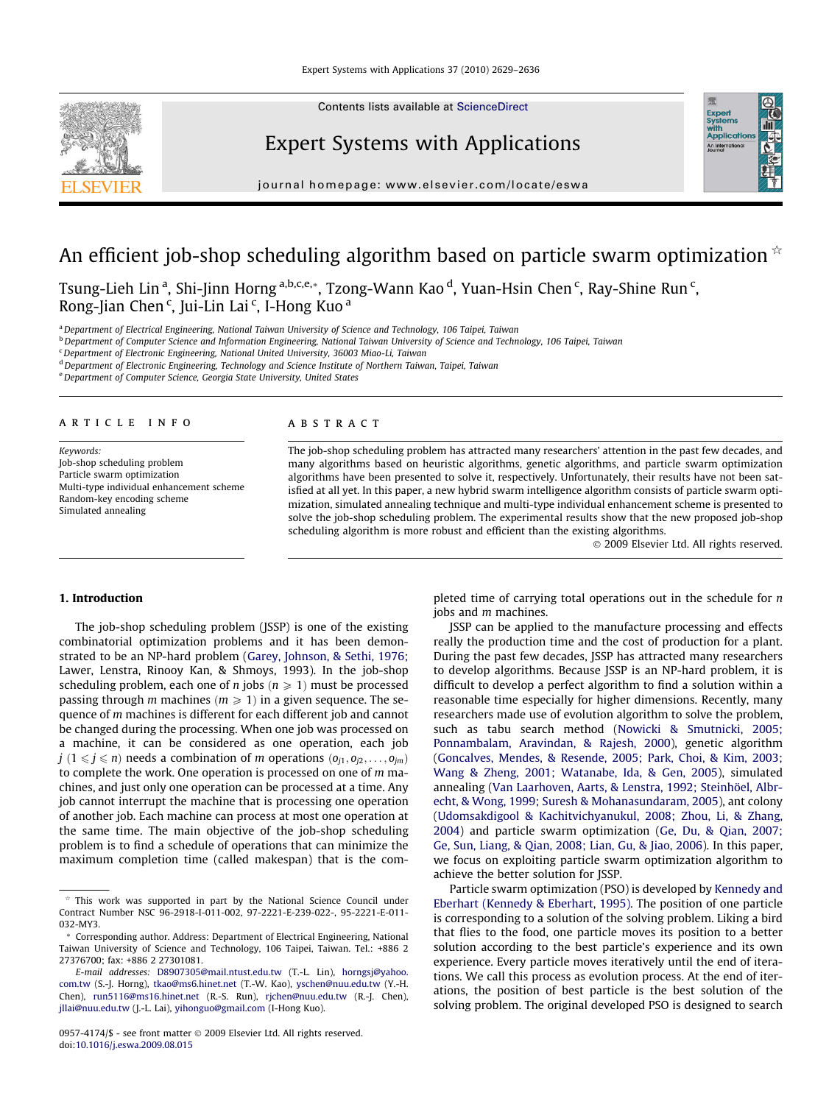

Contents lists available at [ScienceDirect](http://www.sciencedirect.com/science/journal/09574174)

## Expert Systems with Applications



journal homepage: [www.elsevier.com/locate/eswa](http://www.elsevier.com/locate/eswa)

## An efficient job-shop scheduling algorithm based on particle swarm optimization  $\dot{\phi}$

Tsung-Lieh Lin <sup>a</sup>, Shi-Jinn Horng <sup>a,b,c,e,</sup>\*, Tzong-Wann Kao <sup>d</sup>, Yuan-Hsin Chen <sup>c</sup>, Ray-Shine Run <sup>c</sup>, Rong-Jian Chen<sup>c</sup>, Jui-Lin Lai<sup>c</sup>, I-Hong Kuo<sup>a</sup>

a Department of Electrical Engineering, National Taiwan University of Science and Technology, 106 Taipei, Taiwan

<sup>b</sup> Department of Computer Science and Information Engineering, National Taiwan University of Science and Technology, 106 Taipei, Taiwan

<sup>c</sup> Department of Electronic Engineering, National United University, 36003 Miao-Li, Taiwan

<sup>d</sup> Department of Electronic Engineering, Technology and Science Institute of Northern Taiwan, Taipei, Taiwan

<sup>e</sup>Department of Computer Science, Georgia State University, United States

### article info

Keywords: Job-shop scheduling problem Particle swarm optimization Multi-type individual enhancement scheme Random-key encoding scheme Simulated annealing

### ABSTRACT

The job-shop scheduling problem has attracted many researchers' attention in the past few decades, and many algorithms based on heuristic algorithms, genetic algorithms, and particle swarm optimization algorithms have been presented to solve it, respectively. Unfortunately, their results have not been satisfied at all yet. In this paper, a new hybrid swarm intelligence algorithm consists of particle swarm optimization, simulated annealing technique and multi-type individual enhancement scheme is presented to solve the job-shop scheduling problem. The experimental results show that the new proposed job-shop scheduling algorithm is more robust and efficient than the existing algorithms.

- 2009 Elsevier Ltd. All rights reserved.

### 1. Introduction

The job-shop scheduling problem (JSSP) is one of the existing combinatorial optimization problems and it has been demonstrated to be an NP-hard problem ([Garey, Johnson, & Sethi, 1976;](#page--1-0) Lawer, Lenstra, Rinooy Kan, & Shmoys, 1993). In the job-shop scheduling problem, each one of *n* jobs ( $n \ge 1$ ) must be processed passing through m machines ( $m \ge 1$ ) in a given sequence. The sequence of m machines is different for each different job and cannot be changed during the processing. When one job was processed on a machine, it can be considered as one operation, each job  $j$  ( $1 \leq j \leq n$ ) needs a combination of m operations  $(o_{i1}, o_{i2}, \ldots, o_{im})$ to complete the work. One operation is processed on one of m machines, and just only one operation can be processed at a time. Any job cannot interrupt the machine that is processing one operation of another job. Each machine can process at most one operation at the same time. The main objective of the job-shop scheduling problem is to find a schedule of operations that can minimize the maximum completion time (called makespan) that is the completed time of carrying total operations out in the schedule for n jobs and *m* machines.

JSSP can be applied to the manufacture processing and effects really the production time and the cost of production for a plant. During the past few decades, JSSP has attracted many researchers to develop algorithms. Because JSSP is an NP-hard problem, it is difficult to develop a perfect algorithm to find a solution within a reasonable time especially for higher dimensions. Recently, many researchers made use of evolution algorithm to solve the problem, such as tabu search method [\(Nowicki & Smutnicki, 2005;](#page--1-0) [Ponnambalam, Aravindan, & Rajesh, 2000\)](#page--1-0), genetic algorithm ([Goncalves, Mendes, & Resende, 2005; Park, Choi, & Kim, 2003;](#page--1-0) [Wang & Zheng, 2001; Watanabe, Ida, & Gen, 2005\)](#page--1-0), simulated annealing [\(Van Laarhoven, Aarts, & Lenstra, 1992; Steinhöel, Albr](#page--1-0)[echt, & Wong, 1999; Suresh & Mohanasundaram, 2005](#page--1-0)), ant colony ([Udomsakdigool & Kachitvichyanukul, 2008; Zhou, Li, & Zhang,](#page--1-0) [2004](#page--1-0)) and particle swarm optimization [\(Ge, Du, & Qian, 2007;](#page--1-0) [Ge, Sun, Liang, & Qian, 2008; Lian, Gu, & Jiao, 2006\)](#page--1-0). In this paper, we focus on exploiting particle swarm optimization algorithm to achieve the better solution for JSSP.

Particle swarm optimization (PSO) is developed by [Kennedy and](#page--1-0) [Eberhart \(Kennedy & Eberhart, 1995\).](#page--1-0) The position of one particle is corresponding to a solution of the solving problem. Liking a bird that flies to the food, one particle moves its position to a better solution according to the best particle's experience and its own experience. Every particle moves iteratively until the end of iterations. We call this process as evolution process. At the end of iterations, the position of best particle is the best solution of the solving problem. The original developed PSO is designed to search

 $*$  This work was supported in part by the National Science Council under Contract Number NSC 96-2918-I-011-002, 97-2221-E-239-022-, 95-2221-E-011- 032-MY3.

Corresponding author. Address: Department of Electrical Engineering, National Taiwan University of Science and Technology, 106 Taipei, Taiwan. Tel.: +886 2 27376700; fax: +886 2 27301081.

E-mail addresses: [D8907305@mail.ntust.edu.tw](mailto:D8907305@mail.ntust.edu.tw) (T.-L. Lin), [horngsj@yahoo.](mailto:horngsj@yahoo. com.tw) [com.tw](mailto:horngsj@yahoo. com.tw) (S.-J. Horng), [tkao@ms6.hinet.net](mailto:tkao@ms6.hinet.net) (T.-W. Kao), [yschen@nuu.edu.tw](mailto:yschen@nuu.edu.tw) (Y.-H. Chen), [run5116@ms16.hinet.net](mailto:run5116@ms16.hinet.net) (R.-S. Run), [rjchen@nuu.edu.tw](mailto:rjchen@nuu.edu.tw) (R.-J. Chen), [jllai@nuu.edu.tw](mailto:jllai@nuu.edu.tw) (J.-L. Lai), [yihonguo@gmail.com](mailto:yihonguo@gmail.com) (I-Hong Kuo).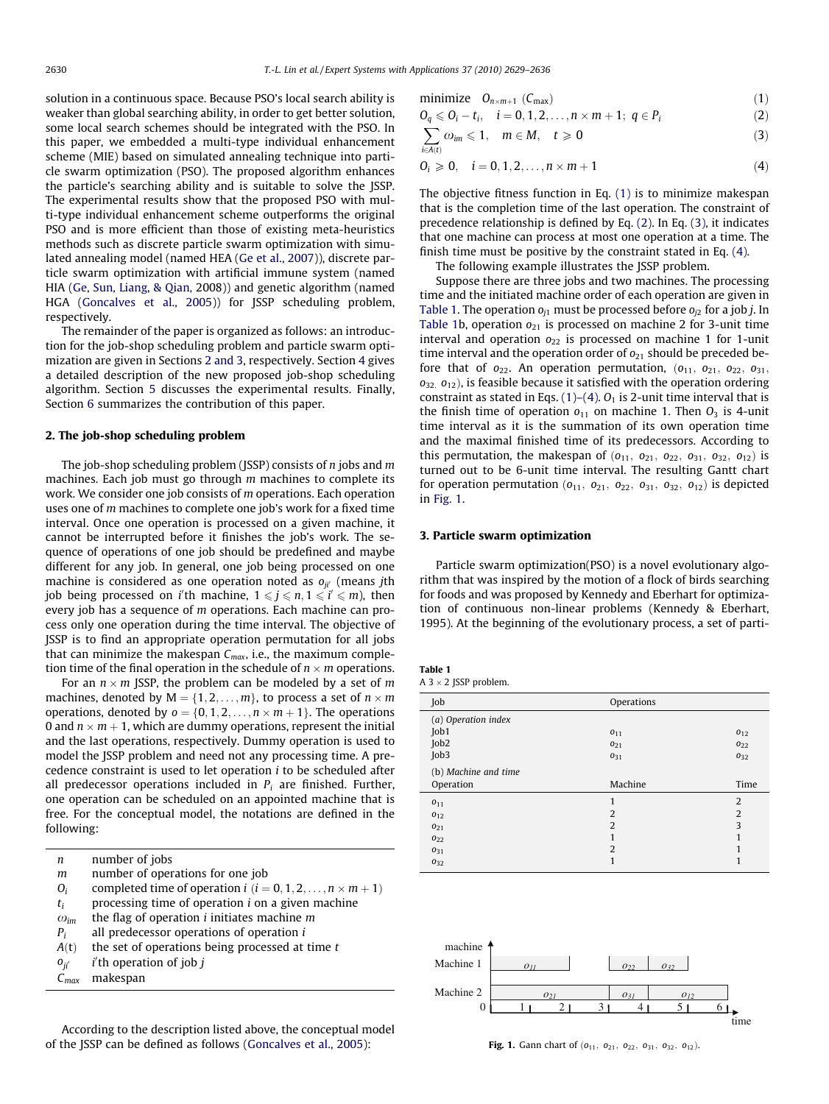solution in a continuous space. Because PSO's local search ability is weaker than global searching ability, in order to get better solution, some local search schemes should be integrated with the PSO. In this paper, we embedded a multi-type individual enhancement scheme (MIE) based on simulated annealing technique into particle swarm optimization (PSO). The proposed algorithm enhances the particle's searching ability and is suitable to solve the JSSP. The experimental results show that the proposed PSO with multi-type individual enhancement scheme outperforms the original PSO and is more efficient than those of existing meta-heuristics methods such as discrete particle swarm optimization with simulated annealing model (named HEA ([Ge et al., 2007\)](#page--1-0)), discrete particle swarm optimization with artificial immune system (named HIA [\(Ge, Sun, Liang, & Qian,](#page--1-0) 2008)) and genetic algorithm (named HGA [\(Goncalves et al., 2005\)](#page--1-0)) for JSSP scheduling problem, respectively.

The remainder of the paper is organized as follows: an introduction for the job-shop scheduling problem and particle swarm optimization are given in Sections 2 and 3, respectively. Section [4](#page--1-0) gives a detailed description of the new proposed job-shop scheduling algorithm. Section [5](#page--1-0) discusses the experimental results. Finally, Section [6](#page--1-0) summarizes the contribution of this paper.

#### 2. The job-shop scheduling problem

The job-shop scheduling problem (JSSP) consists of  $n$  jobs and  $m$ machines. Each job must go through m machines to complete its work. We consider one job consists of m operations. Each operation uses one of m machines to complete one job's work for a fixed time interval. Once one operation is processed on a given machine, it cannot be interrupted before it finishes the job's work. The sequence of operations of one job should be predefined and maybe different for any job. In general, one job being processed on one machine is considered as one operation noted as  $o_{ji'}$  (means jth job being processed on i'th machine,  $1 \leqslant j \leqslant n, 1 \leqslant i' \leqslant m$ ), then every job has a sequence of m operations. Each machine can process only one operation during the time interval. The objective of JSSP is to find an appropriate operation permutation for all jobs that can minimize the makespan  $C_{max}$ , i.e., the maximum completion time of the final operation in the schedule of  $n\times m$  operations.

For an  $n \times m$  JSSP, the problem can be modeled by a set of  $m$ machines, denoted by M  $=\{1,2,\ldots,m\}$ , to process a set of  $n\times m$ operations, denoted by  ${\mathfrak o} = \{0,1,2,\ldots, n\times m+1\}.$  The operations 0 and  $n\times m+1$ , which are dummy operations, represent the initial and the last operations, respectively. Dummy operation is used to model the JSSP problem and need not any processing time. A precedence constraint is used to let operation i to be scheduled after all predecessor operations included in  $P_i$  are finished. Further, one operation can be scheduled on an appointed machine that is free. For the conceptual model, the notations are defined in the following:

| number of jobs                                                      |
|---------------------------------------------------------------------|
| number of operations for one job                                    |
| completed time of operation $i$ ( $i = 0, 1, 2, , n \times m + 1$ ) |
| processing time of operation <i>i</i> on a given machine            |
| the flag of operation $i$ initiates machine $m$                     |
| all predecessor operations of operation i                           |
| the set of operations being processed at time $t$                   |
| $i$ 'th operation of job $i$                                        |
| makespan                                                            |
|                                                                     |

According to the description listed above, the conceptual model of the JSSP can be defined as follows [\(Goncalves et al., 2005](#page--1-0)):

$$
minimize \t O_{n \times m+1} (C_{max}) \t (1)
$$

$$
O_q \leqslant O_i - t_i, \quad i = 0, 1, 2, \dots, n \times m + 1; \ q \in P_i
$$
 (2)

$$
\sum_{i \in A(t)} \omega_{im} \leqslant 1, \quad m \in M, \quad t \geqslant 0 \tag{3}
$$

$$
0_i \geq 0, \quad i = 0, 1, 2, \dots, n \times m + 1 \tag{4}
$$

The objective fitness function in Eq. (1) is to minimize makespan that is the completion time of the last operation. The constraint of precedence relationship is defined by Eq. (2). In Eq. (3), it indicates that one machine can process at most one operation at a time. The finish time must be positive by the constraint stated in Eq. (4).

The following example illustrates the JSSP problem.

Suppose there are three jobs and two machines. The processing time and the initiated machine order of each operation are given in Table 1. The operation  $o_{j1}$  must be processed before  $o_{j2}$  for a job *j*. In Table 1b, operation  $o_{21}$  is processed on machine 2 for 3-unit time interval and operation  $o_{22}$  is processed on machine 1 for 1-unit time interval and the operation order of  $o_{21}$  should be preceded before that of  $o_{22}$ . An operation permutation,  $(o_{11}, o_{21}, o_{22}, o_{31}, o_{32})$  $o_{32, 012}$ ), is feasible because it satisfied with the operation ordering constraint as stated in Eqs.  $(1)$ – $(4)$ .  $O<sub>1</sub>$  is 2-unit time interval that is the finish time of operation  $o_{11}$  on machine 1. Then  $O_3$  is 4-unit time interval as it is the summation of its own operation time and the maximal finished time of its predecessors. According to this permutation, the makespan of  $(o_{11}, o_{21}, o_{22}, o_{31}, o_{32}, o_{12})$  is turned out to be 6-unit time interval. The resulting Gantt chart for operation permutation  $(o_{11}, o_{21}, o_{22}, o_{31}, o_{32}, o_{12})$  is depicted in Fig. 1.

#### 3. Particle swarm optimization

Particle swarm optimization(PSO) is a novel evolutionary algorithm that was inspired by the motion of a flock of birds searching for foods and was proposed by Kennedy and Eberhart for optimization of continuous non-linear problems (Kennedy & Eberhart, 1995). At the beginning of the evolutionary process, a set of parti-

| Table 1 |  |     |         |  |
|---------|--|-----|---------|--|
|         |  | 200 | . 1. 1. |  |

| A 3 $\times$ 2 JSSP problem. |  |
|------------------------------|--|
|------------------------------|--|

| Job                  | Operations      |                |
|----------------------|-----------------|----------------|
| (a) Operation index  |                 |                |
| Job1                 | $0_{11}$        | $0_{12}$       |
| Job2                 | 0 <sub>21</sub> | $0_{22}$       |
| Job3                 | 031             | 032            |
| (b) Machine and time |                 |                |
| Operation            | Machine         | Time           |
|                      |                 |                |
| $0_{11}$             | 1               | $\overline{2}$ |
| $0_{12}$             | $\overline{2}$  | $\overline{2}$ |
| 0 <sub>21</sub>      | $\overline{2}$  | 3              |
| 022                  | 1               | 1              |
| $0_{31}$             | $\overline{2}$  | 1              |
| $0_{32}$             | 1               | 1              |



Fig. 1. Gann chart of  $(o_{11}, o_{21}, o_{22}, o_{31}, o_{32}, o_{12})$ .